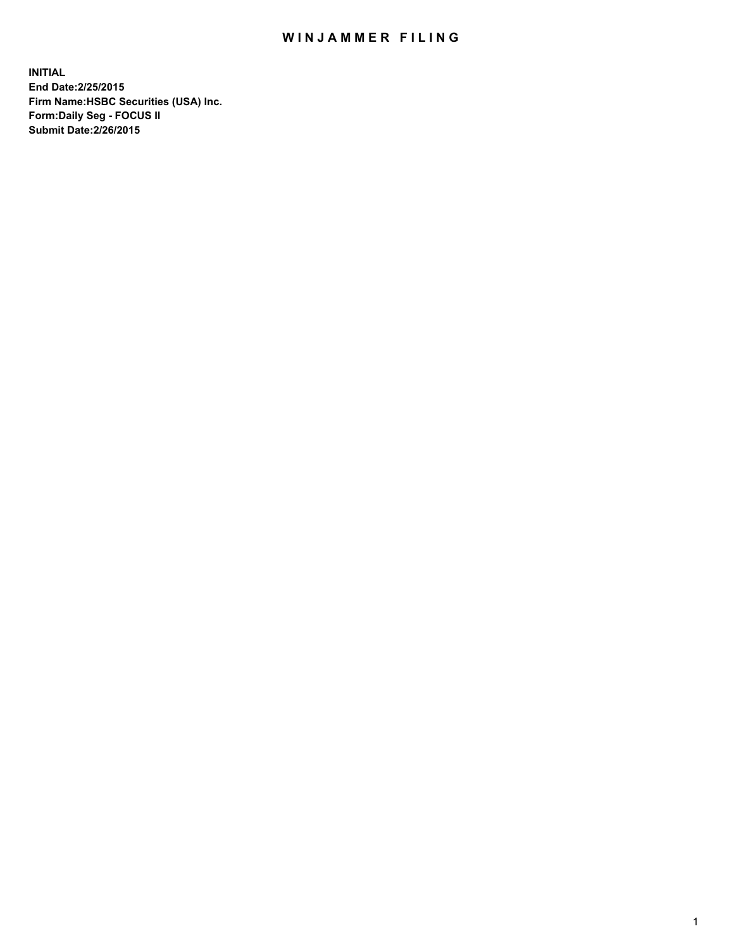## WIN JAMMER FILING

**INITIAL End Date:2/25/2015 Firm Name:HSBC Securities (USA) Inc. Form:Daily Seg - FOCUS II Submit Date:2/26/2015**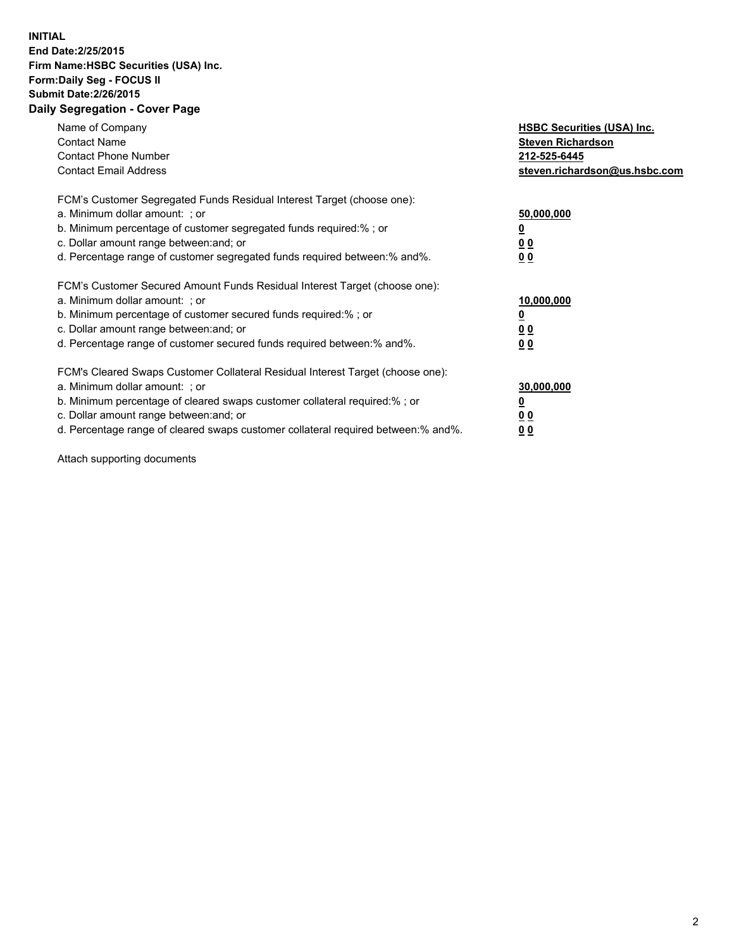## **INITIAL End Date:2/25/2015 Firm Name:HSBC Securities (USA) Inc. Form:Daily Seg - FOCUS II Submit Date:2/26/2015 Daily Segregation - Cover Page**

| Name of Company<br><b>Contact Name</b><br><b>Contact Phone Number</b><br><b>Contact Email Address</b>                                                                                                                                                                                                                          | <b>HSBC Securities (USA) Inc.</b><br><b>Steven Richardson</b><br>212-525-6445<br>steven.richardson@us.hsbc.com |
|--------------------------------------------------------------------------------------------------------------------------------------------------------------------------------------------------------------------------------------------------------------------------------------------------------------------------------|----------------------------------------------------------------------------------------------------------------|
| FCM's Customer Segregated Funds Residual Interest Target (choose one):<br>a. Minimum dollar amount: ; or<br>b. Minimum percentage of customer segregated funds required:%; or<br>c. Dollar amount range between: and; or<br>d. Percentage range of customer segregated funds required between: % and %.                        | 50,000,000<br>0 <sub>0</sub><br>0 <sub>0</sub>                                                                 |
| FCM's Customer Secured Amount Funds Residual Interest Target (choose one):<br>a. Minimum dollar amount: ; or<br>b. Minimum percentage of customer secured funds required:%; or<br>c. Dollar amount range between: and; or<br>d. Percentage range of customer secured funds required between:% and%.                            | 10,000,000<br><u>0</u><br>0 <sub>0</sub><br>0 <sub>0</sub>                                                     |
| FCM's Cleared Swaps Customer Collateral Residual Interest Target (choose one):<br>a. Minimum dollar amount: ; or<br>b. Minimum percentage of cleared swaps customer collateral required:% ; or<br>c. Dollar amount range between: and; or<br>d. Percentage range of cleared swaps customer collateral required between:% and%. | 30,000,000<br>00<br><u>00</u>                                                                                  |

Attach supporting documents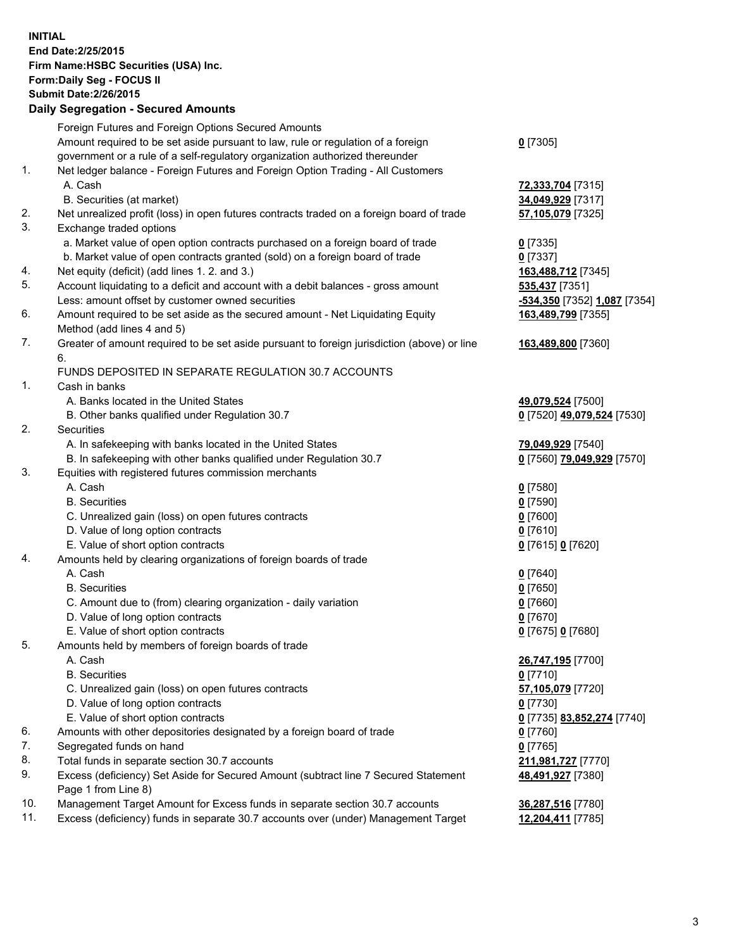**INITIAL End Date:2/25/2015 Firm Name:HSBC Securities (USA) Inc. Form:Daily Seg - FOCUS II Submit Date:2/26/2015 Daily Segregation - Secured Amounts**

Foreign Futures and Foreign Options Secured Amounts Amount required to be set aside pursuant to law, rule or regulation of a foreign government or a rule of a self-regulatory organization authorized thereunder **0** [7305] 1. Net ledger balance - Foreign Futures and Foreign Option Trading - All Customers A. Cash **72,333,704** [7315] B. Securities (at market) **34,049,929** [7317] 2. Net unrealized profit (loss) in open futures contracts traded on a foreign board of trade **57,105,079** [7325] 3. Exchange traded options a. Market value of open option contracts purchased on a foreign board of trade **0** [7335] b. Market value of open contracts granted (sold) on a foreign board of trade **0** [7337] 4. Net equity (deficit) (add lines 1. 2. and 3.) **163,488,712** [7345] 5. Account liquidating to a deficit and account with a debit balances - gross amount **535,437** [7351] Less: amount offset by customer owned securities **-534,350** [7352] **1,087** [7354] 6. Amount required to be set aside as the secured amount - Net Liquidating Equity Method (add lines 4 and 5) **163,489,799** [7355] 7. Greater of amount required to be set aside pursuant to foreign jurisdiction (above) or line 6. **163,489,800** [7360] FUNDS DEPOSITED IN SEPARATE REGULATION 30.7 ACCOUNTS 1. Cash in banks A. Banks located in the United States **49,079,524** [7500] B. Other banks qualified under Regulation 30.7 **0** [7520] **49,079,524** [7530] 2. Securities A. In safekeeping with banks located in the United States **79,049,929** [7540] B. In safekeeping with other banks qualified under Regulation 30.7 **0** [7560] **79,049,929** [7570] 3. Equities with registered futures commission merchants A. Cash **0** [7580] B. Securities **0** [7590] C. Unrealized gain (loss) on open futures contracts **0** [7600] D. Value of long option contracts **0** [7610] E. Value of short option contracts **0** [7615] **0** [7620] 4. Amounts held by clearing organizations of foreign boards of trade A. Cash **0** [7640] B. Securities **0** [7650] C. Amount due to (from) clearing organization - daily variation **0** [7660] D. Value of long option contracts **0** [7670] E. Value of short option contracts **0** [7675] **0** [7680] 5. Amounts held by members of foreign boards of trade A. Cash **26,747,195** [7700] B. Securities **0** [7710] C. Unrealized gain (loss) on open futures contracts **57,105,079** [7720] D. Value of long option contracts **0** [7730] E. Value of short option contracts **0** [7735] **83,852,274** [7740] 6. Amounts with other depositories designated by a foreign board of trade **0** [7760] 7. Segregated funds on hand **0** [7765] 8. Total funds in separate section 30.7 accounts **211,981,727** [7770] 9. Excess (deficiency) Set Aside for Secured Amount (subtract line 7 Secured Statement Page 1 from Line 8) **48,491,927** [7380] 10. Management Target Amount for Excess funds in separate section 30.7 accounts **36,287,516** [7780] 11. Excess (deficiency) funds in separate 30.7 accounts over (under) Management Target **12,204,411** [7785]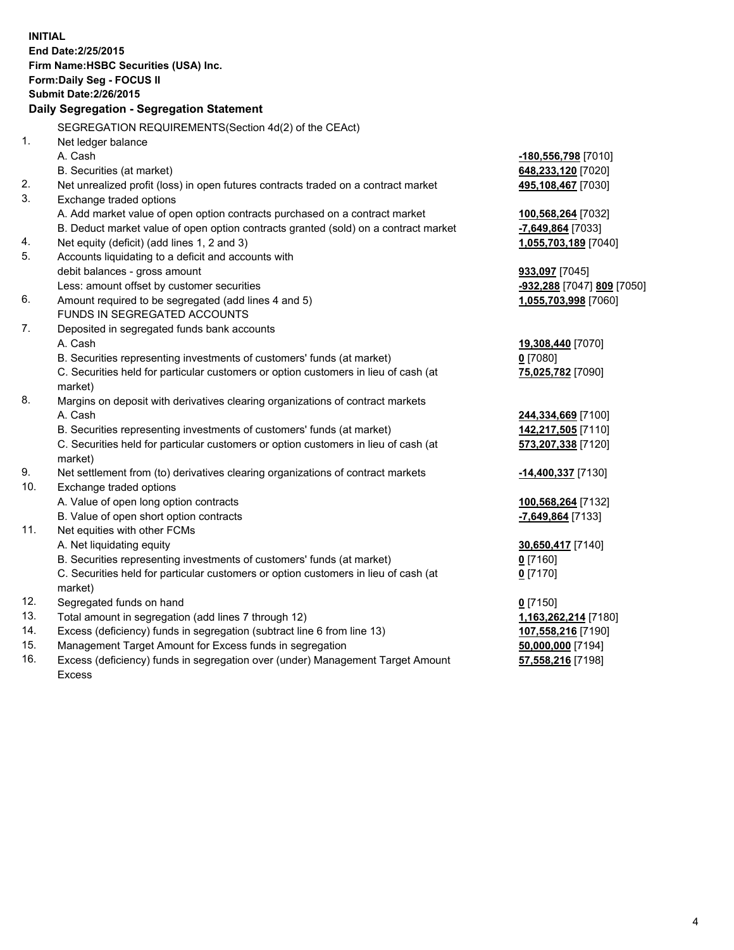| <b>INITIAL</b>                        |                                                                                            |                            |  |  |
|---------------------------------------|--------------------------------------------------------------------------------------------|----------------------------|--|--|
|                                       | End Date: 2/25/2015                                                                        |                            |  |  |
| Firm Name: HSBC Securities (USA) Inc. |                                                                                            |                            |  |  |
|                                       | Form: Daily Seg - FOCUS II                                                                 |                            |  |  |
|                                       | <b>Submit Date: 2/26/2015</b>                                                              |                            |  |  |
|                                       | Daily Segregation - Segregation Statement                                                  |                            |  |  |
|                                       | SEGREGATION REQUIREMENTS(Section 4d(2) of the CEAct)                                       |                            |  |  |
| 1.                                    | Net ledger balance                                                                         |                            |  |  |
|                                       | A. Cash                                                                                    | -180,556,798 [7010]        |  |  |
|                                       | B. Securities (at market)                                                                  | 648,233,120 [7020]         |  |  |
| 2.                                    | Net unrealized profit (loss) in open futures contracts traded on a contract market         | 495,108,467 [7030]         |  |  |
| 3.                                    | Exchange traded options                                                                    |                            |  |  |
|                                       | A. Add market value of open option contracts purchased on a contract market                | 100,568,264 [7032]         |  |  |
|                                       | B. Deduct market value of open option contracts granted (sold) on a contract market        | -7,649,864 [7033]          |  |  |
| 4.                                    | Net equity (deficit) (add lines 1, 2 and 3)                                                | 1,055,703,189 [7040]       |  |  |
| 5.                                    | Accounts liquidating to a deficit and accounts with                                        |                            |  |  |
|                                       | debit balances - gross amount                                                              | 933,097 [7045]             |  |  |
|                                       | Less: amount offset by customer securities                                                 | -932,288 [7047] 809 [7050] |  |  |
| 6.                                    | Amount required to be segregated (add lines 4 and 5)                                       | 1,055,703,998 [7060]       |  |  |
|                                       | FUNDS IN SEGREGATED ACCOUNTS                                                               |                            |  |  |
| 7.                                    | Deposited in segregated funds bank accounts                                                |                            |  |  |
|                                       | A. Cash                                                                                    | 19,308,440 [7070]          |  |  |
|                                       | B. Securities representing investments of customers' funds (at market)                     | $0$ [7080]                 |  |  |
|                                       | C. Securities held for particular customers or option customers in lieu of cash (at        | 75,025,782 [7090]          |  |  |
|                                       | market)                                                                                    |                            |  |  |
| 8.                                    | Margins on deposit with derivatives clearing organizations of contract markets             |                            |  |  |
|                                       | A. Cash                                                                                    | 244,334,669 [7100]         |  |  |
|                                       | B. Securities representing investments of customers' funds (at market)                     | 142,217,505 [7110]         |  |  |
|                                       | C. Securities held for particular customers or option customers in lieu of cash (at        | 573,207,338 [7120]         |  |  |
| 9.                                    | market)<br>Net settlement from (to) derivatives clearing organizations of contract markets | -14,400,337 [7130]         |  |  |
| 10.                                   | Exchange traded options                                                                    |                            |  |  |
|                                       | A. Value of open long option contracts                                                     | 100,568,264 [7132]         |  |  |
|                                       | B. Value of open short option contracts                                                    | -7,649,864 [7133]          |  |  |
| 11.                                   | Net equities with other FCMs                                                               |                            |  |  |
|                                       | A. Net liquidating equity                                                                  | 30,650,417 [7140]          |  |  |
|                                       | B. Securities representing investments of customers' funds (at market)                     | $0$ [7160]                 |  |  |
|                                       | C. Securities held for particular customers or option customers in lieu of cash (at        | $0$ [7170]                 |  |  |
|                                       | market)                                                                                    |                            |  |  |
| 12.                                   | Segregated funds on hand                                                                   | $0$ [7150]                 |  |  |
| 13.                                   | Total amount in segregation (add lines 7 through 12)                                       | 1,163,262,214 [7180]       |  |  |
| 14.                                   | Excess (deficiency) funds in segregation (subtract line 6 from line 13)                    | 107,558,216 [7190]         |  |  |
| 15.                                   | Management Target Amount for Excess funds in segregation                                   | 50,000,000 [7194]          |  |  |
| 16.                                   | Excess (deficiency) funds in segregation over (under) Management Target Amount             | 57,558,216 [7198]          |  |  |

16. Excess (deficiency) funds in segregation over (under) Management Target Amount Excess